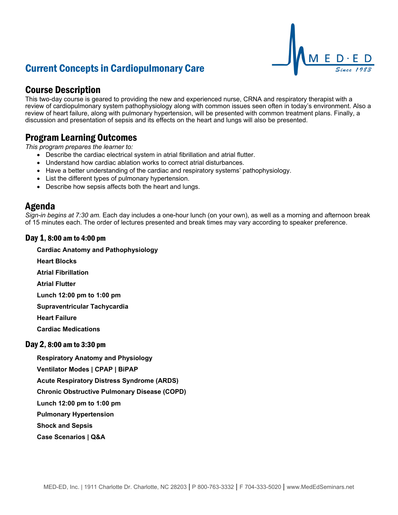# Current Concepts in Cardiopulmonary Care



## Course Description

This two-day course is geared to providing the new and experienced nurse, CRNA and respiratory therapist with a review of cardiopulmonary system pathophysiology along with common issues seen often in today's environment. Also a review of heart failure, along with pulmonary hypertension, will be presented with common treatment plans. Finally, a discussion and presentation of sepsis and its effects on the heart and lungs will also be presented.

## Program Learning Outcomes

*This program prepares the learner to:*

- Describe the cardiac electrical system in atrial fibrillation and atrial flutter.
- Understand how cardiac ablation works to correct atrial disturbances.
- Have a better understanding of the cardiac and respiratory systems' pathophysiology.
- List the different types of pulmonary hypertension.
- Describe how sepsis affects both the heart and lungs.

### Agenda

*Sign-in begins at 7:30 am.* Each day includes a one-hour lunch (on your own), as well as a morning and afternoon break of 15 minutes each. The order of lectures presented and break times may vary according to speaker preference.

### Day 1, 8:00 am to 4:00 pm

#### **Cardiac Anatomy and Pathophysiology**

**Heart Blocks**

**Atrial Fibrillation**

**Atrial Flutter**

**Lunch 12:00 pm to 1:00 pm**

**Supraventricular Tachycardia**

**Heart Failure**

**Cardiac Medications**

### Day 2, 8:00 am to 3:30 pm

**Respiratory Anatomy and Physiology**

**Ventilator Modes | CPAP | BiPAP**

**Acute Respiratory Distress Syndrome (ARDS)**

**Chronic Obstructive Pulmonary Disease (COPD)**

**Lunch 12:00 pm to 1:00 pm**

**Pulmonary Hypertension**

**Shock and Sepsis**

**Case Scenarios | Q&A**